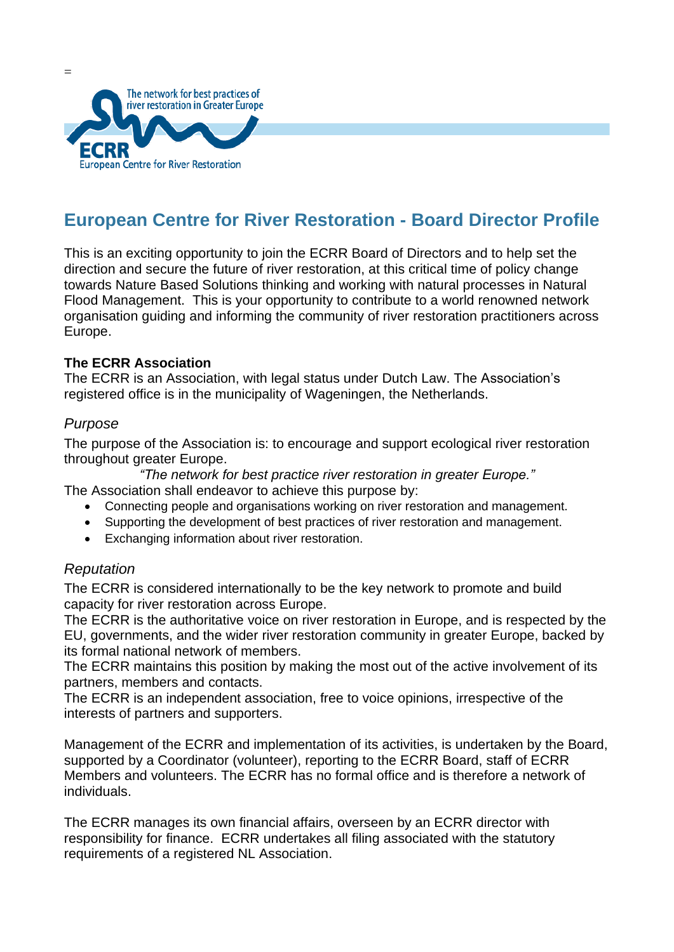

# **European Centre for River Restoration - Board Director Profile**

This is an exciting opportunity to join the ECRR Board of Directors and to help set the direction and secure the future of river restoration, at this critical time of policy change towards Nature Based Solutions thinking and working with natural processes in Natural Flood Management. This is your opportunity to contribute to a world renowned network organisation guiding and informing the community of river restoration practitioners across Europe.

## **The ECRR Association**

The ECRR is an Association, with legal status under Dutch Law. The Association's registered office is in the municipality of Wageningen, the Netherlands.

## *Purpose*

 $=$ 

The purpose of the Association is: to encourage and support ecological river restoration throughout greater Europe.

*"The network for best practice river restoration in greater Europe."*

- The Association shall endeavor to achieve this purpose by:
	- Connecting people and organisations working on river restoration and management.
	- Supporting the development of best practices of river restoration and management.
	- Exchanging information about river restoration.

## *Reputation*

The ECRR is considered internationally to be the key network to promote and build capacity for river restoration across Europe.

The ECRR is the authoritative voice on river restoration in Europe, and is respected by the EU, governments, and the wider river restoration community in greater Europe, backed by its formal national network of members.

The ECRR maintains this position by making the most out of the active involvement of its partners, members and contacts.

The ECRR is an independent association, free to voice opinions, irrespective of the interests of partners and supporters.

Management of the ECRR and implementation of its activities, is undertaken by the Board, supported by a Coordinator (volunteer), reporting to the ECRR Board, staff of ECRR Members and volunteers. The ECRR has no formal office and is therefore a network of individuals.

The ECRR manages its own financial affairs, overseen by an ECRR director with responsibility for finance. ECRR undertakes all filing associated with the statutory requirements of a registered NL Association.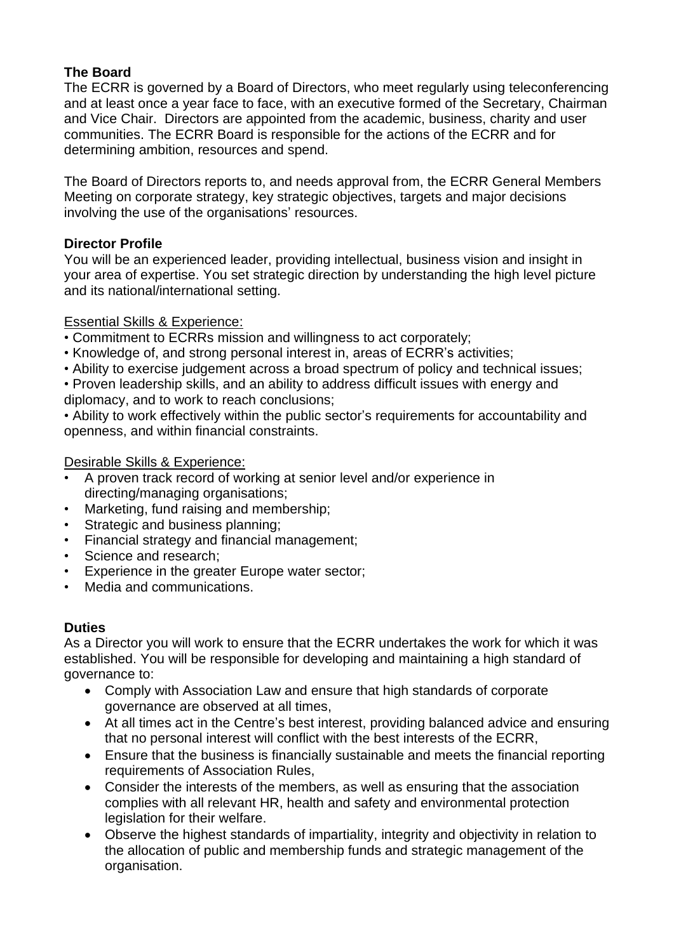## **The Board**

The ECRR is governed by a Board of Directors, who meet regularly using teleconferencing and at least once a year face to face, with an executive formed of the Secretary, Chairman and Vice Chair. Directors are appointed from the academic, business, charity and user communities. The ECRR Board is responsible for the actions of the ECRR and for determining ambition, resources and spend.

The Board of Directors reports to, and needs approval from, the ECRR General Members Meeting on corporate strategy, key strategic objectives, targets and major decisions involving the use of the organisations' resources.

## **Director Profile**

You will be an experienced leader, providing intellectual, business vision and insight in your area of expertise. You set strategic direction by understanding the high level picture and its national/international setting.

## Essential Skills & Experience:

- Commitment to ECRRs mission and willingness to act corporately;
- Knowledge of, and strong personal interest in, areas of ECRR's activities;
- Ability to exercise judgement across a broad spectrum of policy and technical issues;
- Proven leadership skills, and an ability to address difficult issues with energy and diplomacy, and to work to reach conclusions;

• Ability to work effectively within the public sector's requirements for accountability and openness, and within financial constraints.

## Desirable Skills & Experience:

- A proven track record of working at senior level and/or experience in directing/managing organisations;
- Marketing, fund raising and membership;
- Strategic and business planning;
- Financial strategy and financial management;
- Science and research;
- Experience in the greater Europe water sector;
- Media and communications.

# **Duties**

As a Director you will work to ensure that the ECRR undertakes the work for which it was established. You will be responsible for developing and maintaining a high standard of governance to:

- Comply with Association Law and ensure that high standards of corporate governance are observed at all times,
- At all times act in the Centre's best interest, providing balanced advice and ensuring that no personal interest will conflict with the best interests of the ECRR,
- Ensure that the business is financially sustainable and meets the financial reporting requirements of Association Rules,
- Consider the interests of the members, as well as ensuring that the association complies with all relevant HR, health and safety and environmental protection legislation for their welfare.
- Observe the highest standards of impartiality, integrity and objectivity in relation to the allocation of public and membership funds and strategic management of the organisation.